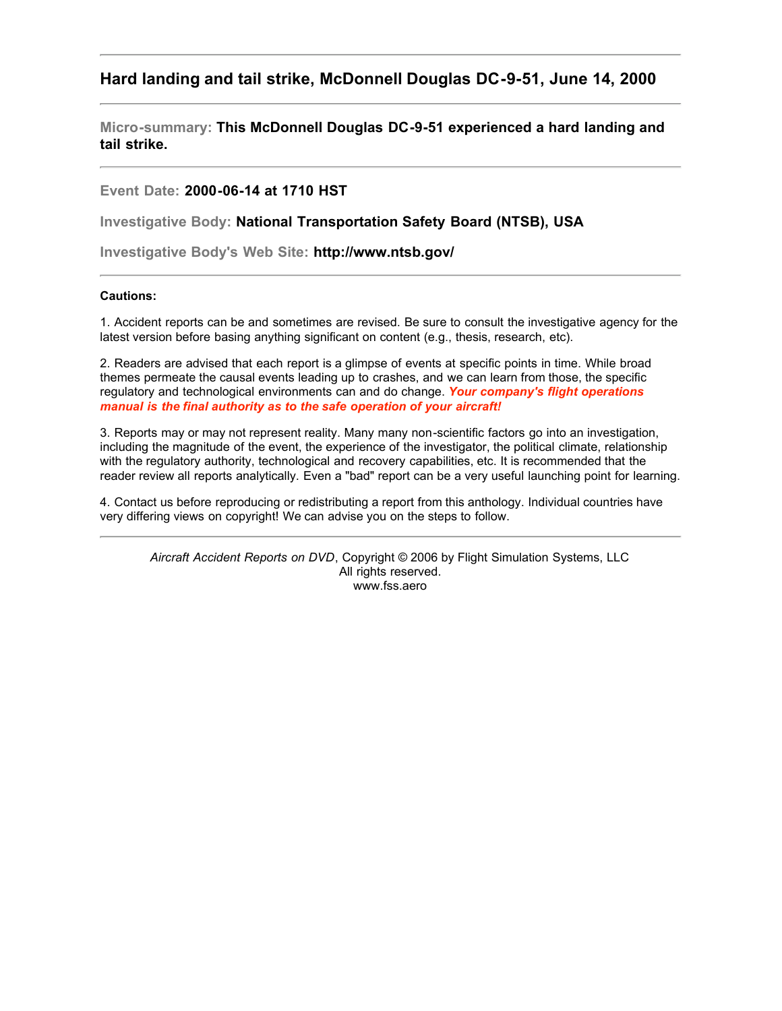# **Hard landing and tail strike, McDonnell Douglas DC-9-51, June 14, 2000**

**Micro-summary: This McDonnell Douglas DC-9-51 experienced a hard landing and tail strike.**

## **Event Date: 2000-06-14 at 1710 HST**

**Investigative Body: National Transportation Safety Board (NTSB), USA**

**Investigative Body's Web Site: http://www.ntsb.gov/**

## **Cautions:**

1. Accident reports can be and sometimes are revised. Be sure to consult the investigative agency for the latest version before basing anything significant on content (e.g., thesis, research, etc).

2. Readers are advised that each report is a glimpse of events at specific points in time. While broad themes permeate the causal events leading up to crashes, and we can learn from those, the specific regulatory and technological environments can and do change. *Your company's flight operations manual is the final authority as to the safe operation of your aircraft!*

3. Reports may or may not represent reality. Many many non-scientific factors go into an investigation, including the magnitude of the event, the experience of the investigator, the political climate, relationship with the regulatory authority, technological and recovery capabilities, etc. It is recommended that the reader review all reports analytically. Even a "bad" report can be a very useful launching point for learning.

4. Contact us before reproducing or redistributing a report from this anthology. Individual countries have very differing views on copyright! We can advise you on the steps to follow.

*Aircraft Accident Reports on DVD*, Copyright © 2006 by Flight Simulation Systems, LLC All rights reserved. www.fss.aero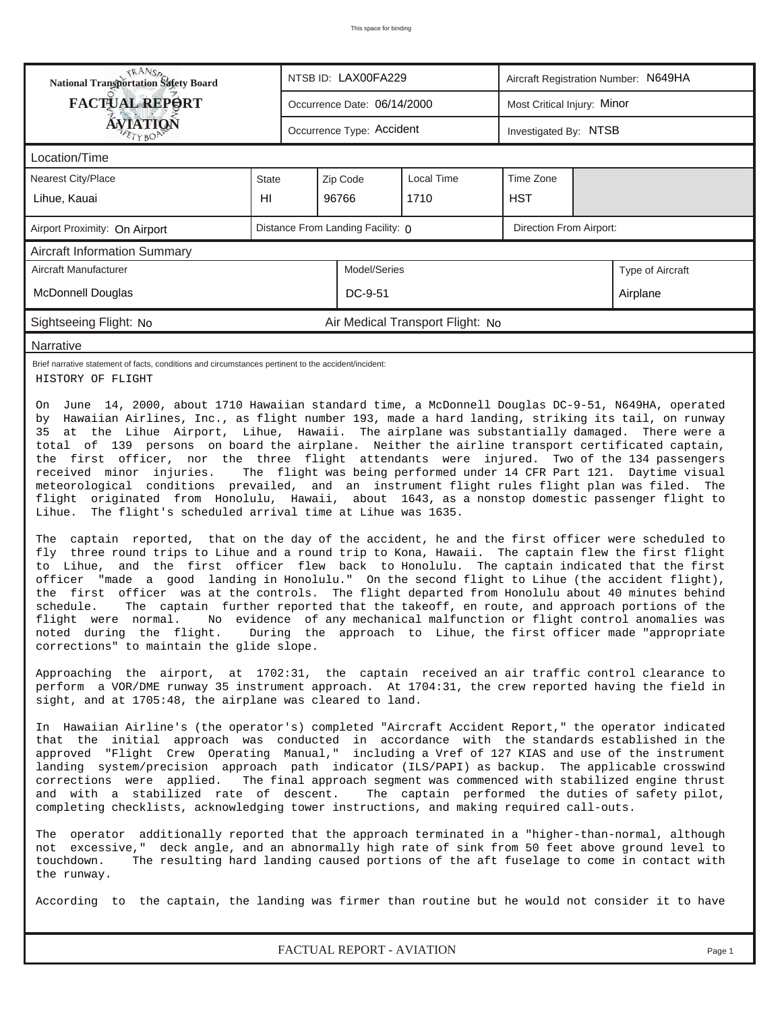| RANS <sub>P</sub>                                                                                                                                                                                                                                                                                                                                                                                                                                                                                                                                                                                                                                                                                                                                                                                                                                                                                                                                                                                                                                                                                                                                                                                                                                                                                                                                                                                                                                                                                                                                                                                                                                                                                                                                                                                                                                                                                                                                                                                                                                                                                                                                                                                                                                                                                                                                                                                                                                                                                                                                                                                                                                                                                                                                                                                                                                                                                                                                                                                                                                             |       |                                                              | NTSB ID: LAX00FA229         |                                  |                       | Aircraft Registration Number: N649HA |                  |  |  |  |
|---------------------------------------------------------------------------------------------------------------------------------------------------------------------------------------------------------------------------------------------------------------------------------------------------------------------------------------------------------------------------------------------------------------------------------------------------------------------------------------------------------------------------------------------------------------------------------------------------------------------------------------------------------------------------------------------------------------------------------------------------------------------------------------------------------------------------------------------------------------------------------------------------------------------------------------------------------------------------------------------------------------------------------------------------------------------------------------------------------------------------------------------------------------------------------------------------------------------------------------------------------------------------------------------------------------------------------------------------------------------------------------------------------------------------------------------------------------------------------------------------------------------------------------------------------------------------------------------------------------------------------------------------------------------------------------------------------------------------------------------------------------------------------------------------------------------------------------------------------------------------------------------------------------------------------------------------------------------------------------------------------------------------------------------------------------------------------------------------------------------------------------------------------------------------------------------------------------------------------------------------------------------------------------------------------------------------------------------------------------------------------------------------------------------------------------------------------------------------------------------------------------------------------------------------------------------------------------------------------------------------------------------------------------------------------------------------------------------------------------------------------------------------------------------------------------------------------------------------------------------------------------------------------------------------------------------------------------------------------------------------------------------------------------------------------------|-------|--------------------------------------------------------------|-----------------------------|----------------------------------|-----------------------|--------------------------------------|------------------|--|--|--|
| <b>FACTUAL REPORT</b>                                                                                                                                                                                                                                                                                                                                                                                                                                                                                                                                                                                                                                                                                                                                                                                                                                                                                                                                                                                                                                                                                                                                                                                                                                                                                                                                                                                                                                                                                                                                                                                                                                                                                                                                                                                                                                                                                                                                                                                                                                                                                                                                                                                                                                                                                                                                                                                                                                                                                                                                                                                                                                                                                                                                                                                                                                                                                                                                                                                                                                         |       |                                                              | Occurrence Date: 06/14/2000 |                                  |                       | Most Critical Injury: Minor          |                  |  |  |  |
| ÁVIATIQN<br>ETYBOP                                                                                                                                                                                                                                                                                                                                                                                                                                                                                                                                                                                                                                                                                                                                                                                                                                                                                                                                                                                                                                                                                                                                                                                                                                                                                                                                                                                                                                                                                                                                                                                                                                                                                                                                                                                                                                                                                                                                                                                                                                                                                                                                                                                                                                                                                                                                                                                                                                                                                                                                                                                                                                                                                                                                                                                                                                                                                                                                                                                                                                            |       |                                                              | Occurrence Type: Accident   |                                  | Investigated By: NTSB |                                      |                  |  |  |  |
| Location/Time                                                                                                                                                                                                                                                                                                                                                                                                                                                                                                                                                                                                                                                                                                                                                                                                                                                                                                                                                                                                                                                                                                                                                                                                                                                                                                                                                                                                                                                                                                                                                                                                                                                                                                                                                                                                                                                                                                                                                                                                                                                                                                                                                                                                                                                                                                                                                                                                                                                                                                                                                                                                                                                                                                                                                                                                                                                                                                                                                                                                                                                 |       |                                                              |                             |                                  |                       |                                      |                  |  |  |  |
| Nearest City/Place                                                                                                                                                                                                                                                                                                                                                                                                                                                                                                                                                                                                                                                                                                                                                                                                                                                                                                                                                                                                                                                                                                                                                                                                                                                                                                                                                                                                                                                                                                                                                                                                                                                                                                                                                                                                                                                                                                                                                                                                                                                                                                                                                                                                                                                                                                                                                                                                                                                                                                                                                                                                                                                                                                                                                                                                                                                                                                                                                                                                                                            | State |                                                              |                             |                                  |                       |                                      |                  |  |  |  |
| Lihue, Kauai                                                                                                                                                                                                                                                                                                                                                                                                                                                                                                                                                                                                                                                                                                                                                                                                                                                                                                                                                                                                                                                                                                                                                                                                                                                                                                                                                                                                                                                                                                                                                                                                                                                                                                                                                                                                                                                                                                                                                                                                                                                                                                                                                                                                                                                                                                                                                                                                                                                                                                                                                                                                                                                                                                                                                                                                                                                                                                                                                                                                                                                  | HI    |                                                              | 96766                       | 1710                             | <b>HST</b>            |                                      |                  |  |  |  |
| Airport Proximity: On Airport                                                                                                                                                                                                                                                                                                                                                                                                                                                                                                                                                                                                                                                                                                                                                                                                                                                                                                                                                                                                                                                                                                                                                                                                                                                                                                                                                                                                                                                                                                                                                                                                                                                                                                                                                                                                                                                                                                                                                                                                                                                                                                                                                                                                                                                                                                                                                                                                                                                                                                                                                                                                                                                                                                                                                                                                                                                                                                                                                                                                                                 |       | Direction From Airport:<br>Distance From Landing Facility: 0 |                             |                                  |                       |                                      |                  |  |  |  |
| <b>Aircraft Information Summary</b>                                                                                                                                                                                                                                                                                                                                                                                                                                                                                                                                                                                                                                                                                                                                                                                                                                                                                                                                                                                                                                                                                                                                                                                                                                                                                                                                                                                                                                                                                                                                                                                                                                                                                                                                                                                                                                                                                                                                                                                                                                                                                                                                                                                                                                                                                                                                                                                                                                                                                                                                                                                                                                                                                                                                                                                                                                                                                                                                                                                                                           |       |                                                              |                             |                                  |                       |                                      |                  |  |  |  |
| Aircraft Manufacturer                                                                                                                                                                                                                                                                                                                                                                                                                                                                                                                                                                                                                                                                                                                                                                                                                                                                                                                                                                                                                                                                                                                                                                                                                                                                                                                                                                                                                                                                                                                                                                                                                                                                                                                                                                                                                                                                                                                                                                                                                                                                                                                                                                                                                                                                                                                                                                                                                                                                                                                                                                                                                                                                                                                                                                                                                                                                                                                                                                                                                                         |       |                                                              | Model/Series                |                                  |                       |                                      | Type of Aircraft |  |  |  |
| McDonnell Douglas                                                                                                                                                                                                                                                                                                                                                                                                                                                                                                                                                                                                                                                                                                                                                                                                                                                                                                                                                                                                                                                                                                                                                                                                                                                                                                                                                                                                                                                                                                                                                                                                                                                                                                                                                                                                                                                                                                                                                                                                                                                                                                                                                                                                                                                                                                                                                                                                                                                                                                                                                                                                                                                                                                                                                                                                                                                                                                                                                                                                                                             |       |                                                              | DC-9-51                     |                                  |                       |                                      | Airplane         |  |  |  |
| Sightseeing Flight: No                                                                                                                                                                                                                                                                                                                                                                                                                                                                                                                                                                                                                                                                                                                                                                                                                                                                                                                                                                                                                                                                                                                                                                                                                                                                                                                                                                                                                                                                                                                                                                                                                                                                                                                                                                                                                                                                                                                                                                                                                                                                                                                                                                                                                                                                                                                                                                                                                                                                                                                                                                                                                                                                                                                                                                                                                                                                                                                                                                                                                                        |       |                                                              |                             | Air Medical Transport Flight: No |                       |                                      |                  |  |  |  |
| Narrative                                                                                                                                                                                                                                                                                                                                                                                                                                                                                                                                                                                                                                                                                                                                                                                                                                                                                                                                                                                                                                                                                                                                                                                                                                                                                                                                                                                                                                                                                                                                                                                                                                                                                                                                                                                                                                                                                                                                                                                                                                                                                                                                                                                                                                                                                                                                                                                                                                                                                                                                                                                                                                                                                                                                                                                                                                                                                                                                                                                                                                                     |       |                                                              |                             |                                  |                       |                                      |                  |  |  |  |
| Brief narrative statement of facts, conditions and circumstances pertinent to the accident/incident:<br>HISTORY OF FLIGHT                                                                                                                                                                                                                                                                                                                                                                                                                                                                                                                                                                                                                                                                                                                                                                                                                                                                                                                                                                                                                                                                                                                                                                                                                                                                                                                                                                                                                                                                                                                                                                                                                                                                                                                                                                                                                                                                                                                                                                                                                                                                                                                                                                                                                                                                                                                                                                                                                                                                                                                                                                                                                                                                                                                                                                                                                                                                                                                                     |       |                                                              |                             |                                  |                       |                                      |                  |  |  |  |
| On June 14, 2000, about 1710 Hawaiian standard time, a McDonnell Douglas DC-9-51, N649HA, operated<br>by Hawaiian Airlines, Inc., as flight number 193, made a hard landing, striking its tail, on runway<br>35 at the Lihue Airport, Lihue, Hawaii. The airplane was substantially damaged. There were a<br>total of 139 persons on board the airplane. Neither the airline transport certificated captain,<br>the first officer, nor the three flight attendants were injured. Two of the 134 passengers<br>The flight was being performed under 14 CFR Part 121. Daytime visual<br>received minor injuries.<br>meteorological conditions prevailed, and an instrument flight rules flight plan was filed. The<br>flight originated from Honolulu, Hawaii, about 1643, as a nonstop domestic passenger flight to<br>Lihue.<br>The flight's scheduled arrival time at Lihue was 1635.<br>The captain reported, that on the day of the accident, he and the first officer were scheduled to<br>fly three round trips to Lihue and a round trip to Kona, Hawaii. The captain flew the first flight<br>to Lihue, and the first officer flew back to Honolulu. The captain indicated that the first<br>officer "made a good landing in Honolulu." On the second flight to Lihue (the accident flight),<br>the first officer was at the controls. The flight departed from Honolulu about 40 minutes behind<br>schedule.<br>The captain further reported that the takeoff, en route, and approach portions of the<br>flight were normal.<br>No evidence of any mechanical malfunction or flight control anomalies was<br>noted during the flight. During the approach to Lihue, the first officer made "appropriate<br>corrections" to maintain the glide slope.<br>Approaching the airport, at 1702:31, the captain received an air traffic control clearance to<br>perform a VOR/DME runway 35 instrument approach. At 1704:31, the crew reported having the field in<br>sight, and at 1705:48, the airplane was cleared to land.<br>In Hawaiian Airline's (the operator's) completed "Aircraft Accident Report," the operator indicated<br>that the initial approach was conducted in accordance with the standards established in the<br>approved "Flight Crew Operating Manual," including a Vref of 127 KIAS and use of the instrument<br>landing system/precision approach path indicator (ILS/PAPI) as backup. The applicable crosswind<br>corrections were applied. The final approach segment was commenced with stabilized engine thrust<br>and with a stabilized rate of descent.<br>The captain performed the duties of safety pilot,<br>completing checklists, acknowledging tower instructions, and making required call-outs.<br>The operator additionally reported that the approach terminated in a "higher-than-normal, although<br>not excessive," deck angle, and an abnormally high rate of sink from 50 feet above ground level to<br>The resulting hard landing caused portions of the aft fuselage to come in contact with<br>touchdown. |       |                                                              |                             |                                  |                       |                                      |                  |  |  |  |
| According to the captain, the landing was firmer than routine but he would not consider it to have                                                                                                                                                                                                                                                                                                                                                                                                                                                                                                                                                                                                                                                                                                                                                                                                                                                                                                                                                                                                                                                                                                                                                                                                                                                                                                                                                                                                                                                                                                                                                                                                                                                                                                                                                                                                                                                                                                                                                                                                                                                                                                                                                                                                                                                                                                                                                                                                                                                                                                                                                                                                                                                                                                                                                                                                                                                                                                                                                            |       |                                                              |                             |                                  |                       |                                      |                  |  |  |  |
|                                                                                                                                                                                                                                                                                                                                                                                                                                                                                                                                                                                                                                                                                                                                                                                                                                                                                                                                                                                                                                                                                                                                                                                                                                                                                                                                                                                                                                                                                                                                                                                                                                                                                                                                                                                                                                                                                                                                                                                                                                                                                                                                                                                                                                                                                                                                                                                                                                                                                                                                                                                                                                                                                                                                                                                                                                                                                                                                                                                                                                                               |       |                                                              |                             |                                  |                       |                                      |                  |  |  |  |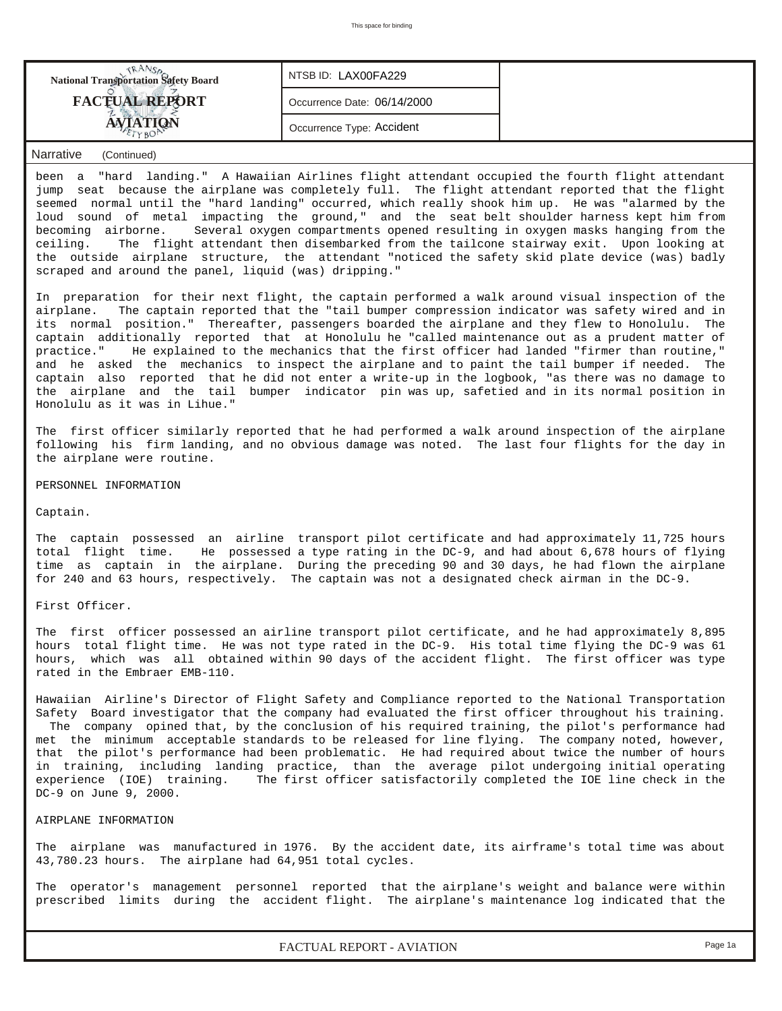| TRANS<br><b>National Transportation Safety Board</b>                                                                                                                                                                                                                                                                                                                                                                                                                                                                                                                                                                                                                                            | NTSB ID: LAX00FA229         |                                                                               |  |  |  |  |  |
|-------------------------------------------------------------------------------------------------------------------------------------------------------------------------------------------------------------------------------------------------------------------------------------------------------------------------------------------------------------------------------------------------------------------------------------------------------------------------------------------------------------------------------------------------------------------------------------------------------------------------------------------------------------------------------------------------|-----------------------------|-------------------------------------------------------------------------------|--|--|--|--|--|
| <b>FACTUAL REPORT</b>                                                                                                                                                                                                                                                                                                                                                                                                                                                                                                                                                                                                                                                                           | Occurrence Date: 06/14/2000 |                                                                               |  |  |  |  |  |
| <b>AVIATION</b>                                                                                                                                                                                                                                                                                                                                                                                                                                                                                                                                                                                                                                                                                 | Occurrence Type: Accident   |                                                                               |  |  |  |  |  |
| Narrative<br>(Continued)                                                                                                                                                                                                                                                                                                                                                                                                                                                                                                                                                                                                                                                                        |                             |                                                                               |  |  |  |  |  |
| been a "hard landing." A Hawaiian Airlines flight attendant occupied the fourth flight attendant<br>jump seat because the airplane was completely full. The flight attendant reported that the flight<br>seemed normal until the "hard landing" occurred, which really shook him up. He was "alarmed by the<br>loud sound of metal impacting the ground," and the seat belt shoulder harness kept him from<br>becoming airborne.<br>ceiling. The flight attendant then disembarked from the tailcone stairway exit. Upon looking at<br>the outside airplane structure, the attendant "noticed the safety skid plate device (was) badly<br>scraped and around the panel, liquid (was) dripping." |                             | Several oxygen compartments opened resulting in oxygen masks hanging from the |  |  |  |  |  |
| In preparation for their next flight, the captain performed a walk around visual inspection of the                                                                                                                                                                                                                                                                                                                                                                                                                                                                                                                                                                                              |                             |                                                                               |  |  |  |  |  |

airplane. The captain reported that the "tail bumper compression indicator was safety wired and in its normal position." Thereafter, passengers boarded the airplane and they flew to Honolulu. The captain additionally reported that at Honolulu he "called maintenance out as a prudent matter of practice." He explained to the mechanics that the first officer had landed "firmer than routine," and he asked the mechanics to inspect the airplane and to paint the tail bumper if needed. The captain also reported that he did not enter a write-up in the logbook, "as there was no damage to the airplane and the tail bumper indicator pin was up, safetied and in its normal position in Honolulu as it was in Lihue."

The first officer similarly reported that he had performed a walk around inspection of the airplane following his firm landing, and no obvious damage was noted. The last four flights for the day in the airplane were routine.

PERSONNEL INFORMATION

Captain.

The captain possessed an airline transport pilot certificate and had approximately 11,725 hours total flight time. He possessed a type rating in the DC-9, and had about 6,678 hours of flying time as captain in the airplane. During the preceding 90 and 30 days, he had flown the airplane for 240 and 63 hours, respectively. The captain was not a designated check airman in the DC-9.

First Officer.

The first officer possessed an airline transport pilot certificate, and he had approximately 8,895 hours total flight time. He was not type rated in the DC-9. His total time flying the DC-9 was 61 hours, which was all obtained within 90 days of the accident flight. The first officer was type rated in the Embraer EMB-110.

Hawaiian Airline's Director of Flight Safety and Compliance reported to the National Transportation Safety Board investigator that the company had evaluated the first officer throughout his training. The company opined that, by the conclusion of his required training, the pilot's performance had met the minimum acceptable standards to be released for line flying. The company noted, however, that the pilot's performance had been problematic. He had required about twice the number of hours in training, including landing practice, than the average pilot undergoing initial operating experience (IOE) training. The first officer satisfactorily completed the IOE line check in the DC-9 on June 9, 2000.

## AIRPLANE INFORMATION

The airplane was manufactured in 1976. By the accident date, its airframe's total time was about 43,780.23 hours. The airplane had 64,951 total cycles.

The operator's management personnel reported that the airplane's weight and balance were within prescribed limits during the accident flight. The airplane's maintenance log indicated that the

*FACTUAL REPORT - AVIATION Page 1a*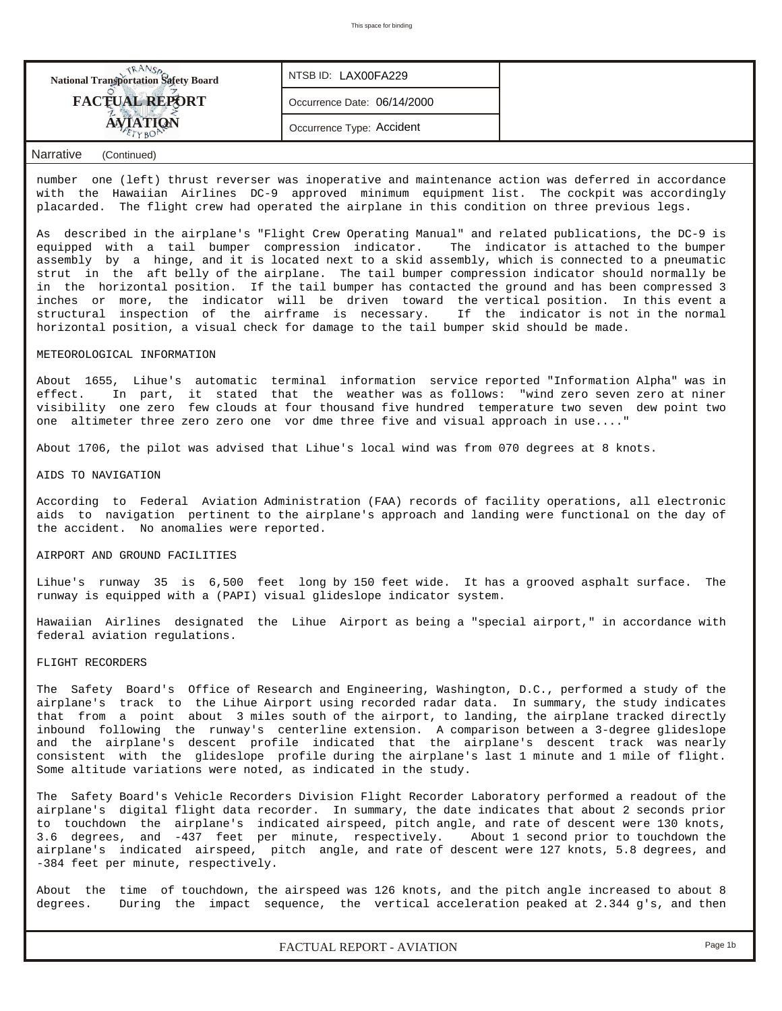| <b>National Transportation Safety Board</b> | NTSB ID: LAX00FA229         |  |
|---------------------------------------------|-----------------------------|--|
| <b>FACTUAL REPORT</b>                       | Occurrence Date: 06/14/2000 |  |
|                                             | Occurrence Type: Accident   |  |
|                                             |                             |  |

## *Narrative (Continued)*

number one (left) thrust reverser was inoperative and maintenance action was deferred in accordance with the Hawaiian Airlines DC-9 approved minimum equipment list. The cockpit was accordingly placarded. The flight crew had operated the airplane in this condition on three previous legs.

As described in the airplane's "Flight Crew Operating Manual" and related publications, the DC-9 is equipped with a tail bumper compression indicator. The indicator is attached to the bumper assembly by a hinge, and it is located next to a skid assembly, which is connected to a pneumatic strut in the aft belly of the airplane. The tail bumper compression indicator should normally be in the horizontal position. If the tail bumper has contacted the ground and has been compressed 3 inches or more, the indicator will be driven toward the vertical position. In this event a structural inspection of the airframe is necessary. If the indicator is not in the normal horizontal position, a visual check for damage to the tail bumper skid should be made.

#### METEOROLOGICAL INFORMATION

About 1655, Lihue's automatic terminal information service reported "Information Alpha" was in effect. In part, it stated that the weather was as follows: "wind zero seven zero at niner visibility one zero few clouds at four thousand five hundred temperature two seven dew point two one altimeter three zero zero one vor dme three five and visual approach in use...."

About 1706, the pilot was advised that Lihue's local wind was from 070 degrees at 8 knots.

#### AIDS TO NAVIGATION

According to Federal Aviation Administration (FAA) records of facility operations, all electronic aids to navigation pertinent to the airplane's approach and landing were functional on the day of the accident. No anomalies were reported.

### AIRPORT AND GROUND FACILITIES

Lihue's runway 35 is 6,500 feet long by 150 feet wide. It has a grooved asphalt surface. The runway is equipped with a (PAPI) visual glideslope indicator system.

Hawaiian Airlines designated the Lihue Airport as being a "special airport," in accordance with federal aviation regulations.

### FLIGHT RECORDERS

The Safety Board's Office of Research and Engineering, Washington, D.C., performed a study of the airplane's track to the Lihue Airport using recorded radar data. In summary, the study indicates that from a point about 3 miles south of the airport, to landing, the airplane tracked directly inbound following the runway's centerline extension. A comparison between a 3-degree glideslope and the airplane's descent profile indicated that the airplane's descent track was nearly consistent with the glideslope profile during the airplane's last 1 minute and 1 mile of flight. Some altitude variations were noted, as indicated in the study.

The Safety Board's Vehicle Recorders Division Flight Recorder Laboratory performed a readout of the airplane's digital flight data recorder. In summary, the date indicates that about 2 seconds prior to touchdown the airplane's indicated airspeed, pitch angle, and rate of descent were 130 knots, 3.6 degrees, and -437 feet per minute, respectively. About 1 second prior to touchdown the airplane's indicated airspeed, pitch angle, and rate of descent were 127 knots, 5.8 degrees, and -384 feet per minute, respectively.

About the time of touchdown, the airspeed was 126 knots, and the pitch angle increased to about 8 degrees. During the impact sequence, the vertical acceleration peaked at 2.344 g's, and then

*FACTUAL REPORT - AVIATION Page 1b*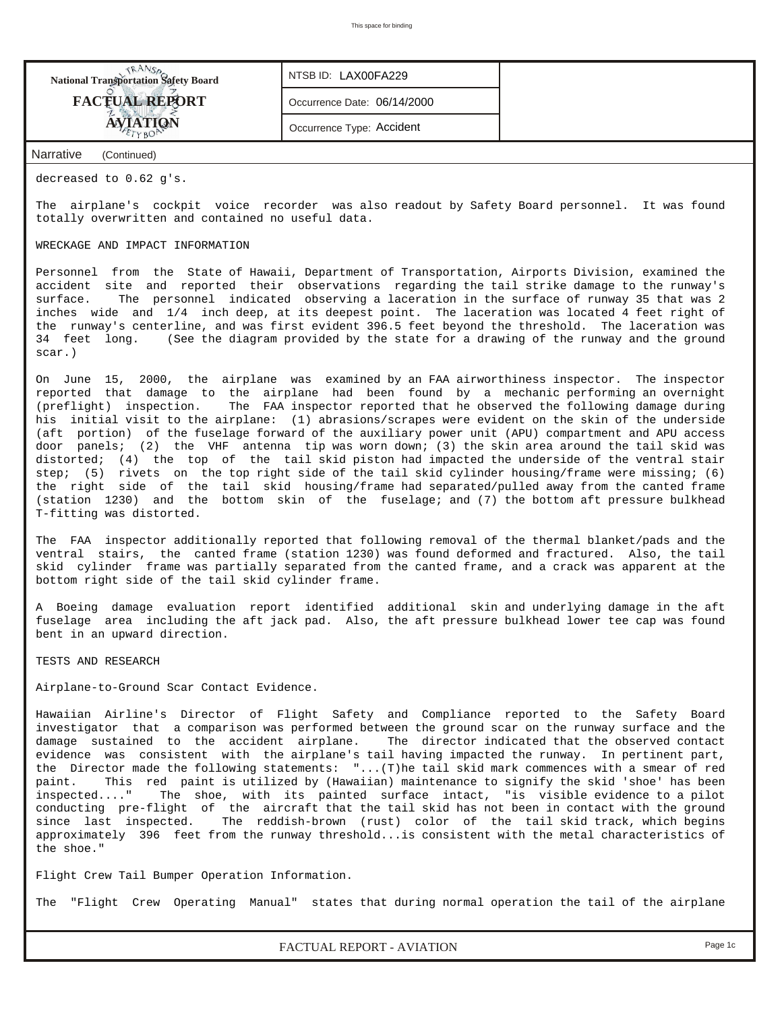| <b>National Transportation Safety Board</b> | NTSB ID: LAX00FA229         |
|---------------------------------------------|-----------------------------|
| <b>FACTUAL REPORT</b>                       | Occurrence Date: 06/14/2000 |
| <b>AVIATION</b>                             | Occurrence Type: Accident   |
| Narrative<br>(Continued)                    |                             |

decreased to 0.62 g's.

The airplane's cockpit voice recorder was also readout by Safety Board personnel. It was found totally overwritten and contained no useful data.

#### WRECKAGE AND IMPACT INFORMATION

Personnel from the State of Hawaii, Department of Transportation, Airports Division, examined the accident site and reported their observations regarding the tail strike damage to the runway's surface. The personnel indicated observing a laceration in the surface of runway 35 that was 2 inches wide and 1/4 inch deep, at its deepest point. The laceration was located 4 feet right of the runway's centerline, and was first evident 396.5 feet beyond the threshold. The laceration was 34 feet long. (See the diagram provided by the state for a drawing of the runway and the ground scar.)

On June 15, 2000, the airplane was examined by an FAA airworthiness inspector. The inspector reported that damage to the airplane had been found by a mechanic performing an overnight (preflight) inspection. The FAA inspector reported that he observed the following damage during his initial visit to the airplane: (1) abrasions/scrapes were evident on the skin of the underside (aft portion) of the fuselage forward of the auxiliary power unit (APU) compartment and APU access door panels; (2) the VHF antenna tip was worn down; (3) the skin area around the tail skid was distorted; (4) the top of the tail skid piston had impacted the underside of the ventral stair step; (5) rivets on the top right side of the tail skid cylinder housing/frame were missing; (6) the right side of the tail skid housing/frame had separated/pulled away from the canted frame (station 1230) and the bottom skin of the fuselage; and (7) the bottom aft pressure bulkhead T-fitting was distorted.

The FAA inspector additionally reported that following removal of the thermal blanket/pads and the ventral stairs, the canted frame (station 1230) was found deformed and fractured. Also, the tail skid cylinder frame was partially separated from the canted frame, and a crack was apparent at the bottom right side of the tail skid cylinder frame.

A Boeing damage evaluation report identified additional skin and underlying damage in the aft fuselage area including the aft jack pad. Also, the aft pressure bulkhead lower tee cap was found bent in an upward direction.

TESTS AND RESEARCH

Airplane-to-Ground Scar Contact Evidence.

Hawaiian Airline's Director of Flight Safety and Compliance reported to the Safety Board investigator that a comparison was performed between the ground scar on the runway surface and the damage sustained to the accident airplane. The director indicated that the observed contact evidence was consistent with the airplane's tail having impacted the runway. In pertinent part, the Director made the following statements: "...(T)he tail skid mark commences with a smear of red paint. This red paint is utilized by (Hawaiian) maintenance to signify the skid 'shoe' has been inspected...." The shoe, with its painted surface intact, "is visible evidence to a pilot conducting pre-flight of the aircraft that the tail skid has not been in contact with the ground since last inspected. The reddish-brown (rust) color of the tail skid track, which begins approximately 396 feet from the runway threshold...is consistent with the metal characteristics of the shoe."

Flight Crew Tail Bumper Operation Information.

The "Flight Crew Operating Manual" states that during normal operation the tail of the airplane

*FACTUAL REPORT - AVIATION Page 1c*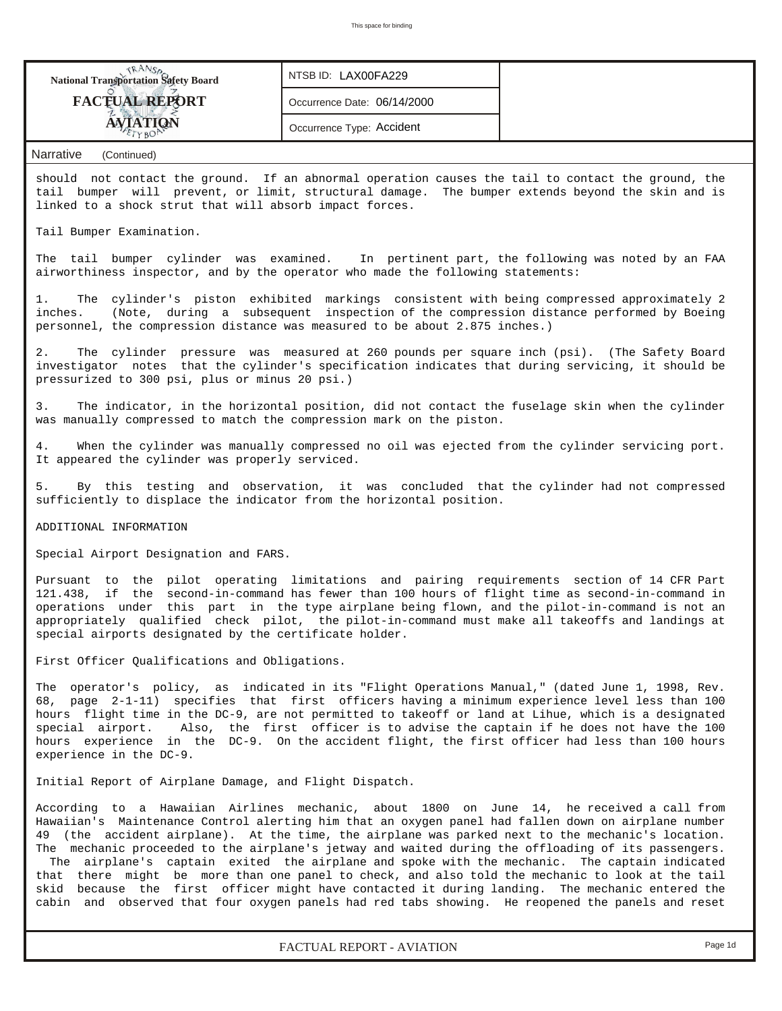| <b>NANSA</b><br>National Transportation Safety Board                                                                                                                                                                                                                                                                                                                                                                                                                                                                                                                                                                                                                                                                                                                                                                      | NTSB ID: LAX00FA229         |  |  |  |  |  |  |  |
|---------------------------------------------------------------------------------------------------------------------------------------------------------------------------------------------------------------------------------------------------------------------------------------------------------------------------------------------------------------------------------------------------------------------------------------------------------------------------------------------------------------------------------------------------------------------------------------------------------------------------------------------------------------------------------------------------------------------------------------------------------------------------------------------------------------------------|-----------------------------|--|--|--|--|--|--|--|
| <b>FACTUAL REPORT</b>                                                                                                                                                                                                                                                                                                                                                                                                                                                                                                                                                                                                                                                                                                                                                                                                     | Occurrence Date: 06/14/2000 |  |  |  |  |  |  |  |
| <b>AVIATION</b>                                                                                                                                                                                                                                                                                                                                                                                                                                                                                                                                                                                                                                                                                                                                                                                                           | Occurrence Type: Accident   |  |  |  |  |  |  |  |
|                                                                                                                                                                                                                                                                                                                                                                                                                                                                                                                                                                                                                                                                                                                                                                                                                           |                             |  |  |  |  |  |  |  |
| Narrative<br>(Continued)                                                                                                                                                                                                                                                                                                                                                                                                                                                                                                                                                                                                                                                                                                                                                                                                  |                             |  |  |  |  |  |  |  |
| should not contact the ground. If an abnormal operation causes the tail to contact the ground, the<br>tail bumper will prevent, or limit, structural damage. The bumper extends beyond the skin and is<br>linked to a shock strut that will absorb impact forces.                                                                                                                                                                                                                                                                                                                                                                                                                                                                                                                                                         |                             |  |  |  |  |  |  |  |
| Tail Bumper Examination.                                                                                                                                                                                                                                                                                                                                                                                                                                                                                                                                                                                                                                                                                                                                                                                                  |                             |  |  |  |  |  |  |  |
| The tail bumper cylinder was examined. In pertinent part, the following was noted by an FAA<br>airworthiness inspector, and by the operator who made the following statements:                                                                                                                                                                                                                                                                                                                                                                                                                                                                                                                                                                                                                                            |                             |  |  |  |  |  |  |  |
| The cylinder's piston exhibited markings consistent with being compressed approximately 2<br>1.<br>(Note, during a subsequent inspection of the compression distance performed by Boeing<br>inches.<br>personnel, the compression distance was measured to be about 2.875 inches.)                                                                                                                                                                                                                                                                                                                                                                                                                                                                                                                                        |                             |  |  |  |  |  |  |  |
| The cylinder pressure was measured at 260 pounds per square inch (psi). (The Safety Board<br>2.<br>investigator notes that the cylinder's specification indicates that during servicing, it should be<br>pressurized to 300 psi, plus or minus 20 psi.)                                                                                                                                                                                                                                                                                                                                                                                                                                                                                                                                                                   |                             |  |  |  |  |  |  |  |
| The indicator, in the horizontal position, did not contact the fuselage skin when the cylinder<br>3.<br>was manually compressed to match the compression mark on the piston.                                                                                                                                                                                                                                                                                                                                                                                                                                                                                                                                                                                                                                              |                             |  |  |  |  |  |  |  |
| When the cylinder was manually compressed no oil was ejected from the cylinder servicing port.<br>4.<br>It appeared the cylinder was properly serviced.                                                                                                                                                                                                                                                                                                                                                                                                                                                                                                                                                                                                                                                                   |                             |  |  |  |  |  |  |  |
| By this testing and observation, it was concluded that the cylinder had not compressed<br>5.<br>sufficiently to displace the indicator from the horizontal position.                                                                                                                                                                                                                                                                                                                                                                                                                                                                                                                                                                                                                                                      |                             |  |  |  |  |  |  |  |
| ADDITIONAL INFORMATION                                                                                                                                                                                                                                                                                                                                                                                                                                                                                                                                                                                                                                                                                                                                                                                                    |                             |  |  |  |  |  |  |  |
| Special Airport Designation and FARS.                                                                                                                                                                                                                                                                                                                                                                                                                                                                                                                                                                                                                                                                                                                                                                                     |                             |  |  |  |  |  |  |  |
| Pursuant to the pilot operating limitations and pairing requirements section of 14 CFR Part<br>121.438, if the second-in-command has fewer than 100 hours of flight time as second-in-command in<br>operations under this part in the type airplane being flown, and the pilot-in-command is not an<br>appropriately qualified check pilot, the pilot-in-command must make all takeoffs and landings at<br>special airports designated by the certificate holder.                                                                                                                                                                                                                                                                                                                                                         |                             |  |  |  |  |  |  |  |
| First Officer Qualifications and Obligations.                                                                                                                                                                                                                                                                                                                                                                                                                                                                                                                                                                                                                                                                                                                                                                             |                             |  |  |  |  |  |  |  |
| The operator's policy, as indicated in its "Flight Operations Manual," (dated June 1, 1998, Rev.<br>68, page 2-1-11) specifies that first officers having a minimum experience level less than 100<br>hours flight time in the DC-9, are not permitted to takeoff or land at Lihue, which is a designated<br>special airport.<br>Also, the first officer is to advise the captain if he does not have the 100<br>hours experience in the DC-9. On the accident flight, the first officer had less than 100 hours<br>experience in the DC-9.                                                                                                                                                                                                                                                                               |                             |  |  |  |  |  |  |  |
| Initial Report of Airplane Damage, and Flight Dispatch.                                                                                                                                                                                                                                                                                                                                                                                                                                                                                                                                                                                                                                                                                                                                                                   |                             |  |  |  |  |  |  |  |
| According to a Hawaiian Airlines mechanic, about 1800 on June 14, he received a call from<br>Hawaiian's Maintenance Control alerting him that an oxygen panel had fallen down on airplane number<br>49 (the accident airplane). At the time, the airplane was parked next to the mechanic's location.<br>The mechanic proceeded to the airplane's jetway and waited during the offloading of its passengers.<br>The airplane's captain exited the airplane and spoke with the mechanic. The captain indicated<br>that there might be more than one panel to check, and also told the mechanic to look at the tail<br>skid because the first officer might have contacted it during landing. The mechanic entered the<br>cabin and observed that four oxygen panels had red tabs showing. He reopened the panels and reset |                             |  |  |  |  |  |  |  |

*FACTUAL REPORT - AVIATION Page 1d*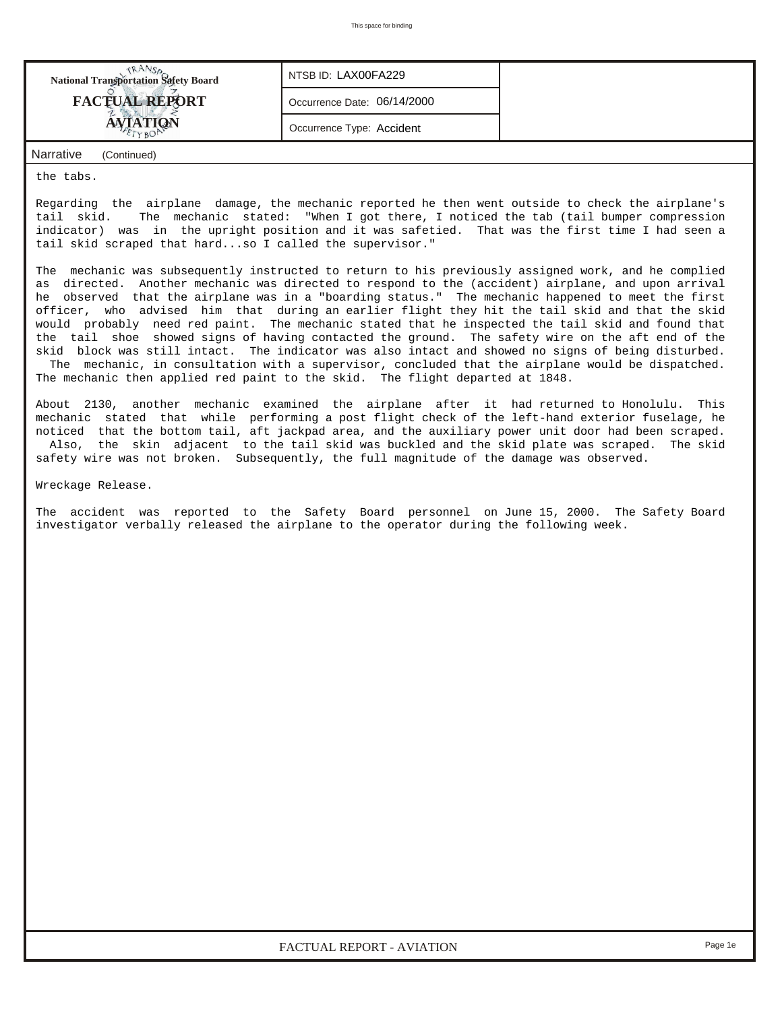| <b>National Transportation Safety Board</b> | NTSB ID: LAX00FA229         |  |
|---------------------------------------------|-----------------------------|--|
| <b>FACTUAL REPORT</b>                       | Occurrence Date: 06/14/2000 |  |
| <b>AVIATION</b>                             | Occurrence Type: Accident   |  |
| Narrative<br>(Continued)                    |                             |  |

the tabs.

Regarding the airplane damage, the mechanic reported he then went outside to check the airplane's tail skid. The mechanic stated: "When I got there, I noticed the tab (tail bumper compression indicator) was in the upright position and it was safetied. That was the first time I had seen a tail skid scraped that hard...so I called the supervisor."

The mechanic was subsequently instructed to return to his previously assigned work, and he complied as directed. Another mechanic was directed to respond to the (accident) airplane, and upon arrival he observed that the airplane was in a "boarding status." The mechanic happened to meet the first officer, who advised him that during an earlier flight they hit the tail skid and that the skid would probably need red paint. The mechanic stated that he inspected the tail skid and found that the tail shoe showed signs of having contacted the ground. The safety wire on the aft end of the skid block was still intact. The indicator was also intact and showed no signs of being disturbed. The mechanic, in consultation with a supervisor, concluded that the airplane would be dispatched.

The mechanic then applied red paint to the skid. The flight departed at 1848.

About 2130, another mechanic examined the airplane after it had returned to Honolulu. This mechanic stated that while performing a post flight check of the left-hand exterior fuselage, he noticed that the bottom tail, aft jackpad area, and the auxiliary power unit door had been scraped. Also, the skin adjacent to the tail skid was buckled and the skid plate was scraped. The skid safety wire was not broken. Subsequently, the full magnitude of the damage was observed.

Wreckage Release.

The accident was reported to the Safety Board personnel on June 15, 2000. The Safety Board investigator verbally released the airplane to the operator during the following week.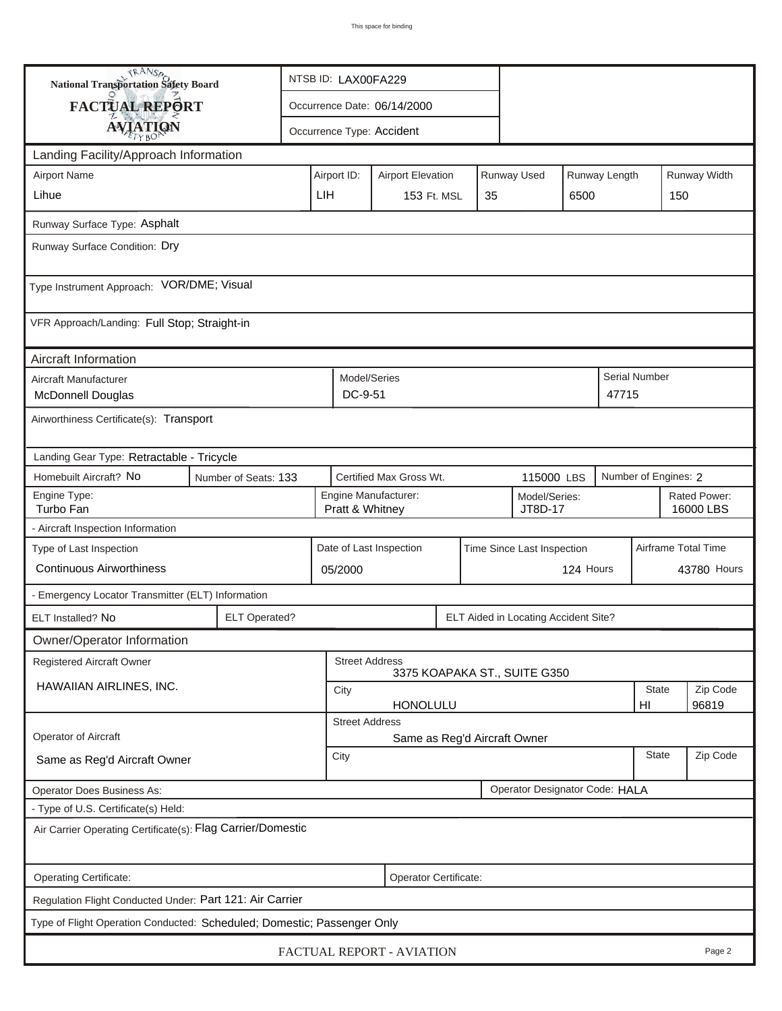| <b>National Transportation Safety Board</b>                             |                      | NTSB ID: LAX00FA229          |                                                                     |  |  |                                      |           |                      |                           |                   |  |
|-------------------------------------------------------------------------|----------------------|------------------------------|---------------------------------------------------------------------|--|--|--------------------------------------|-----------|----------------------|---------------------------|-------------------|--|
| <b>FACTUAL REPORT</b>                                                   |                      | Occurrence Date: 06/14/2000  |                                                                     |  |  |                                      |           |                      |                           |                   |  |
| <b>AVIATION</b>                                                         |                      | Occurrence Type: Accident    |                                                                     |  |  |                                      |           |                      |                           |                   |  |
| Landing Facility/Approach Information                                   |                      |                              |                                                                     |  |  |                                      |           |                      |                           |                   |  |
| <b>Airport Name</b>                                                     |                      | Airport ID:                  | <b>Airport Elevation</b>                                            |  |  | Runway Used                          |           | Runway Length        |                           | Runway Width      |  |
| Lihue                                                                   |                      | LIH                          | 35<br><b>153 Ft. MSL</b><br>6500                                    |  |  |                                      | 150       |                      |                           |                   |  |
| Runway Surface Type: Asphalt                                            |                      |                              |                                                                     |  |  |                                      |           |                      |                           |                   |  |
| Runway Surface Condition: Dry                                           |                      |                              |                                                                     |  |  |                                      |           |                      |                           |                   |  |
| Type Instrument Approach: VOR/DME; Visual                               |                      |                              |                                                                     |  |  |                                      |           |                      |                           |                   |  |
| VFR Approach/Landing: Full Stop; Straight-in                            |                      |                              |                                                                     |  |  |                                      |           |                      |                           |                   |  |
| Aircraft Information                                                    |                      |                              |                                                                     |  |  |                                      |           |                      |                           |                   |  |
| Aircraft Manufacturer<br><b>McDonnell Douglas</b>                       |                      |                              | Model/Series<br>DC-9-51                                             |  |  |                                      |           | 47715                | <b>Serial Number</b>      |                   |  |
| Airworthiness Certificate(s): Transport                                 |                      |                              |                                                                     |  |  |                                      |           |                      |                           |                   |  |
| Landing Gear Type: Retractable - Tricycle                               |                      |                              |                                                                     |  |  |                                      |           |                      |                           |                   |  |
| Homebuilt Aircraft? No                                                  | Number of Seats: 133 |                              | Certified Max Gross Wt.<br>115000 LBS                               |  |  |                                      |           | Number of Engines: 2 |                           |                   |  |
| Engine Type:<br>Turbo Fan                                               |                      |                              | Engine Manufacturer:<br>Model/Series:<br>JT8D-17<br>Pratt & Whitney |  |  |                                      |           |                      | Rated Power:<br>16000 LBS |                   |  |
| - Aircraft Inspection Information                                       |                      |                              |                                                                     |  |  |                                      |           |                      |                           |                   |  |
| Type of Last Inspection                                                 |                      |                              | Date of Last Inspection                                             |  |  | Time Since Last Inspection           |           |                      | Airframe Total Time       |                   |  |
| <b>Continuous Airworthiness</b>                                         |                      | 05/2000                      |                                                                     |  |  |                                      | 124 Hours |                      |                           | 43780 Hours       |  |
| - Emergency Locator Transmitter (ELT) Information                       |                      |                              |                                                                     |  |  |                                      |           |                      |                           |                   |  |
| ELT Installed? No                                                       | <b>ELT Operated?</b> |                              |                                                                     |  |  | ELT Aided in Locating Accident Site? |           |                      |                           |                   |  |
| Owner/Operator Information                                              |                      |                              |                                                                     |  |  |                                      |           |                      |                           |                   |  |
| Registered Aircraft Owner                                               |                      |                              | <b>Street Address</b>                                               |  |  | 3375 KOAPAKA ST., SUITE G350         |           |                      |                           |                   |  |
| HAWAIIAN AIRLINES, INC.                                                 |                      | City                         | <b>HONOLULU</b>                                                     |  |  |                                      |           |                      | <b>State</b><br>HI        | Zip Code<br>96819 |  |
|                                                                         |                      | <b>Street Address</b>        |                                                                     |  |  |                                      |           |                      |                           |                   |  |
| Operator of Aircraft                                                    |                      | Same as Reg'd Aircraft Owner |                                                                     |  |  |                                      |           |                      |                           |                   |  |
| Same as Reg'd Aircraft Owner                                            |                      | <b>State</b><br>City         |                                                                     |  |  |                                      |           | Zip Code             |                           |                   |  |
| Operator Does Business As:                                              |                      |                              |                                                                     |  |  | Operator Designator Code: HALA       |           |                      |                           |                   |  |
| - Type of U.S. Certificate(s) Held:                                     |                      |                              |                                                                     |  |  |                                      |           |                      |                           |                   |  |
| Air Carrier Operating Certificate(s): Flag Carrier/Domestic             |                      |                              |                                                                     |  |  |                                      |           |                      |                           |                   |  |
| Operating Certificate:                                                  |                      |                              | Operator Certificate:                                               |  |  |                                      |           |                      |                           |                   |  |
| Regulation Flight Conducted Under: Part 121: Air Carrier                |                      |                              |                                                                     |  |  |                                      |           |                      |                           |                   |  |
| Type of Flight Operation Conducted: Scheduled; Domestic; Passenger Only |                      |                              |                                                                     |  |  |                                      |           |                      |                           |                   |  |
| FACTUAL REPORT - AVIATION<br>Page 2                                     |                      |                              |                                                                     |  |  |                                      |           |                      |                           |                   |  |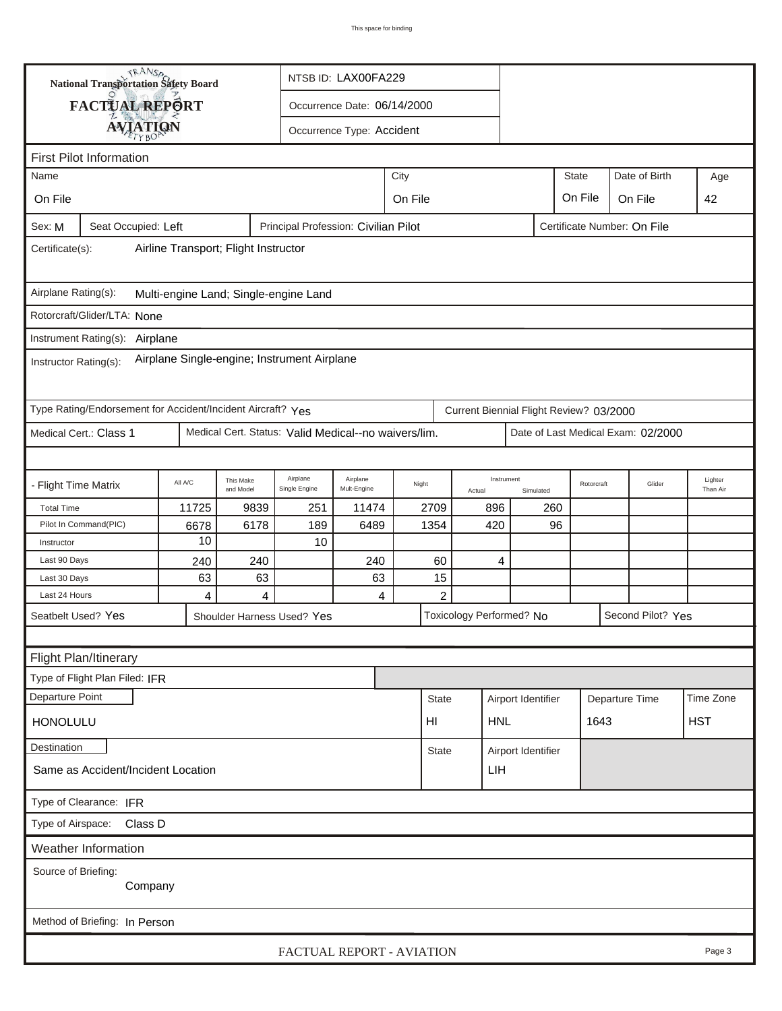|                                                                                                      | TRANSA<br><b>National Transportation Safety Board</b>       |           |                        | NTSB ID: LAX00FA229                                  |                             |         |                                    |     |                                         |              |               |                                    |     |                     |
|------------------------------------------------------------------------------------------------------|-------------------------------------------------------------|-----------|------------------------|------------------------------------------------------|-----------------------------|---------|------------------------------------|-----|-----------------------------------------|--------------|---------------|------------------------------------|-----|---------------------|
|                                                                                                      | FACTUAL REPORT                                              |           |                        |                                                      | Occurrence Date: 06/14/2000 |         |                                    |     |                                         |              |               |                                    |     |                     |
|                                                                                                      |                                                             |           |                        |                                                      |                             |         |                                    |     |                                         |              |               |                                    |     |                     |
| <b>AVIATION</b><br>Occurrence Type: Accident                                                         |                                                             |           |                        |                                                      |                             |         |                                    |     |                                         |              |               |                                    |     |                     |
| <b>First Pilot Information</b>                                                                       |                                                             |           |                        |                                                      |                             |         |                                    |     |                                         |              |               |                                    |     |                     |
| City<br>Name                                                                                         |                                                             |           |                        |                                                      |                             |         |                                    |     |                                         | <b>State</b> | Date of Birth |                                    | Age |                     |
| On File                                                                                              |                                                             |           |                        |                                                      |                             | On File |                                    |     |                                         |              | On File       | On File                            |     | 42                  |
| Principal Profession: Civilian Pilot<br>Seat Occupied: Left<br>Certificate Number: On File<br>Sex: M |                                                             |           |                        |                                                      |                             |         |                                    |     |                                         |              |               |                                    |     |                     |
| Airline Transport; Flight Instructor<br>Certificate(s):                                              |                                                             |           |                        |                                                      |                             |         |                                    |     |                                         |              |               |                                    |     |                     |
| Airplane Rating(s):                                                                                  |                                                             |           |                        | Multi-engine Land; Single-engine Land                |                             |         |                                    |     |                                         |              |               |                                    |     |                     |
|                                                                                                      | Rotorcraft/Glider/LTA: None                                 |           |                        |                                                      |                             |         |                                    |     |                                         |              |               |                                    |     |                     |
|                                                                                                      | Instrument Rating(s): Airplane                              |           |                        |                                                      |                             |         |                                    |     |                                         |              |               |                                    |     |                     |
| Airplane Single-engine; Instrument Airplane<br>Instructor Rating(s):                                 |                                                             |           |                        |                                                      |                             |         |                                    |     |                                         |              |               |                                    |     |                     |
|                                                                                                      | Type Rating/Endorsement for Accident/Incident Aircraft? Yes |           |                        |                                                      |                             |         |                                    |     | Current Biennial Flight Review? 03/2000 |              |               |                                    |     |                     |
| Medical Cert.: Class 1                                                                               |                                                             |           |                        | Medical Cert. Status: Valid Medical--no waivers/lim. |                             |         |                                    |     |                                         |              |               | Date of Last Medical Exam: 02/2000 |     |                     |
|                                                                                                      |                                                             |           |                        |                                                      |                             |         |                                    |     |                                         |              |               |                                    |     |                     |
| - Flight Time Matrix                                                                                 |                                                             | All A/C   | This Make<br>and Model | Airplane<br>Single Engine                            | Airplane<br>Mult-Engine     | Night   | Actual                             |     | Instrument<br>Simulated                 |              | Rotorcraft    | Glider                             |     | Lighter<br>Than Air |
| <b>Total Time</b>                                                                                    |                                                             | 11725     | 9839                   | 251                                                  | 11474                       |         | 2709                               | 896 |                                         | 260          |               |                                    |     |                     |
| Pilot In Command(PIC)                                                                                |                                                             | 6678      | 6178                   | 189                                                  | 6489                        |         | 1354                               |     | 420                                     |              | 96            |                                    |     |                     |
| Instructor                                                                                           |                                                             | 10        |                        | 10                                                   |                             |         |                                    |     |                                         |              |               |                                    |     |                     |
| Last 90 Days                                                                                         |                                                             | 240<br>63 | 240<br>63              |                                                      | 240<br>63                   |         | 60<br>15                           |     | 4                                       |              |               |                                    |     |                     |
| Last 30 Days<br>Last 24 Hours                                                                        |                                                             | 4         | $\overline{4}$         |                                                      | 4                           |         | $\overline{c}$                     |     |                                         |              |               |                                    |     |                     |
| Seatbelt Used? Yes                                                                                   |                                                             |           |                        | Shoulder Harness Used? Yes                           |                             |         |                                    |     | Toxicology Performed? No                |              |               | Second Pilot? Yes                  |     |                     |
|                                                                                                      |                                                             |           |                        |                                                      |                             |         |                                    |     |                                         |              |               |                                    |     |                     |
| Flight Plan/Itinerary                                                                                |                                                             |           |                        |                                                      |                             |         |                                    |     |                                         |              |               |                                    |     |                     |
|                                                                                                      | Type of Flight Plan Filed: IFR                              |           |                        |                                                      |                             |         |                                    |     |                                         |              |               |                                    |     |                     |
| Departure Point                                                                                      |                                                             |           |                        |                                                      |                             |         | <b>State</b>                       |     |                                         |              |               | Departure Time                     |     | Time Zone           |
|                                                                                                      |                                                             |           |                        |                                                      |                             |         |                                    |     | Airport Identifier                      |              |               |                                    |     |                     |
| <b>HONOLULU</b>                                                                                      |                                                             |           |                        |                                                      |                             |         | HI                                 |     | <b>HNL</b>                              |              | 1643          |                                    |     | <b>HST</b>          |
| Destination                                                                                          |                                                             |           |                        |                                                      |                             |         | Airport Identifier<br><b>State</b> |     |                                         |              |               |                                    |     |                     |
| Same as Accident/Incident Location<br>LIH                                                            |                                                             |           |                        |                                                      |                             |         |                                    |     |                                         |              |               |                                    |     |                     |
| Type of Clearance: IFR                                                                               |                                                             |           |                        |                                                      |                             |         |                                    |     |                                         |              |               |                                    |     |                     |
| Type of Airspace: Class D                                                                            |                                                             |           |                        |                                                      |                             |         |                                    |     |                                         |              |               |                                    |     |                     |
|                                                                                                      | <b>Weather Information</b>                                  |           |                        |                                                      |                             |         |                                    |     |                                         |              |               |                                    |     |                     |
| Source of Briefing:<br>Company                                                                       |                                                             |           |                        |                                                      |                             |         |                                    |     |                                         |              |               |                                    |     |                     |
|                                                                                                      | Method of Briefing: In Person                               |           |                        |                                                      |                             |         |                                    |     |                                         |              |               |                                    |     |                     |
|                                                                                                      |                                                             |           |                        | FACTUAL REPORT - AVIATION                            |                             |         |                                    |     |                                         |              |               |                                    |     | Page 3              |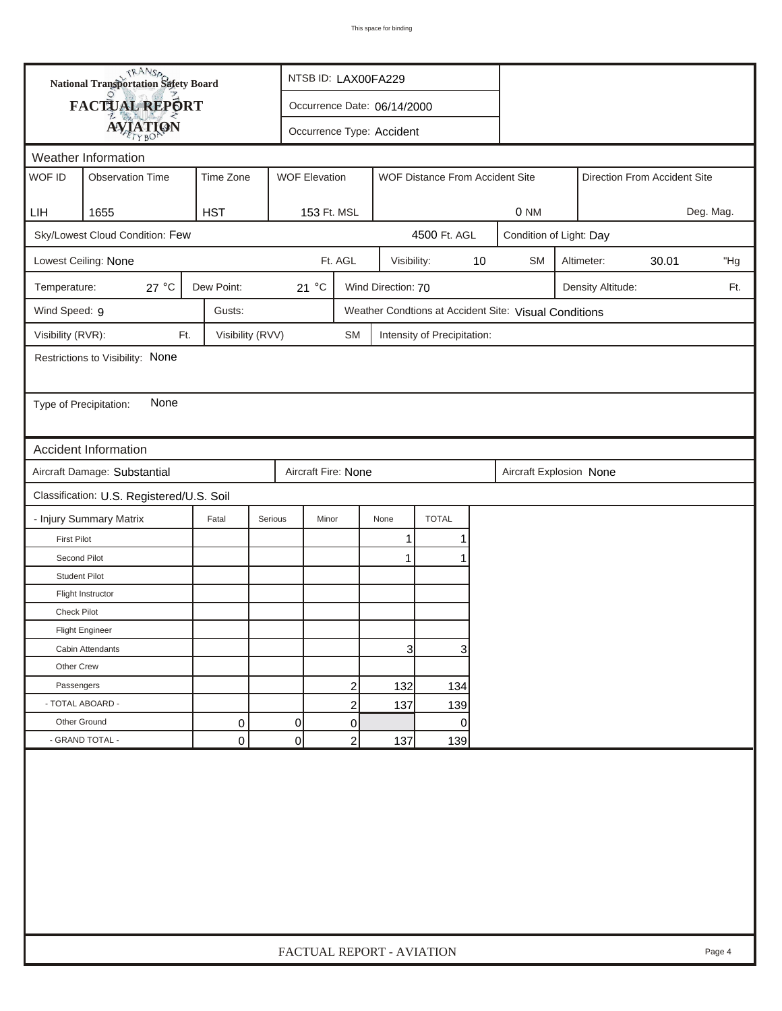| FACTUAL REPORT<br>Occurrence Date: 06/14/2000<br><b>AVIATION</b><br>Occurrence Type: Accident<br>Weather Information<br>WOF ID<br><b>Observation Time</b><br>Time Zone<br><b>WOF Elevation</b><br>WOF Distance From Accident Site<br>Direction From Accident Site<br>1655<br><b>HST</b><br>153 Ft. MSL<br>LIH<br>0 NM<br>Sky/Lowest Cloud Condition: Few<br>4500 Ft. AGL<br>Condition of Light: Day<br>Ft. AGL<br>Lowest Ceiling: None<br>Visibility:<br>10<br><b>SM</b><br>Altimeter:<br>30.01<br>27 °C<br>Dew Point:<br>21 °C<br>Wind Direction: 70<br>Temperature:<br>Density Altitude:<br>Wind Speed: 9<br>Gusts:<br>Weather Condtions at Accident Site: Visual Conditions<br>Visibility (RVR):<br>Visibility (RVV)<br>Ft.<br><b>SM</b><br>Intensity of Precipitation:<br>Restrictions to Visibility: None<br>None<br>Type of Precipitation:<br><b>Accident Information</b><br>Aircraft Damage: Substantial<br>Aircraft Fire: None<br>Aircraft Explosion None<br>Classification: U.S. Registered/U.S. Soil | Deg. Mag.<br>"Hg<br>Ft. |
|----------------------------------------------------------------------------------------------------------------------------------------------------------------------------------------------------------------------------------------------------------------------------------------------------------------------------------------------------------------------------------------------------------------------------------------------------------------------------------------------------------------------------------------------------------------------------------------------------------------------------------------------------------------------------------------------------------------------------------------------------------------------------------------------------------------------------------------------------------------------------------------------------------------------------------------------------------------------------------------------------------------|-------------------------|
|                                                                                                                                                                                                                                                                                                                                                                                                                                                                                                                                                                                                                                                                                                                                                                                                                                                                                                                                                                                                                |                         |
|                                                                                                                                                                                                                                                                                                                                                                                                                                                                                                                                                                                                                                                                                                                                                                                                                                                                                                                                                                                                                |                         |
|                                                                                                                                                                                                                                                                                                                                                                                                                                                                                                                                                                                                                                                                                                                                                                                                                                                                                                                                                                                                                |                         |
|                                                                                                                                                                                                                                                                                                                                                                                                                                                                                                                                                                                                                                                                                                                                                                                                                                                                                                                                                                                                                |                         |
|                                                                                                                                                                                                                                                                                                                                                                                                                                                                                                                                                                                                                                                                                                                                                                                                                                                                                                                                                                                                                |                         |
|                                                                                                                                                                                                                                                                                                                                                                                                                                                                                                                                                                                                                                                                                                                                                                                                                                                                                                                                                                                                                |                         |
|                                                                                                                                                                                                                                                                                                                                                                                                                                                                                                                                                                                                                                                                                                                                                                                                                                                                                                                                                                                                                |                         |
|                                                                                                                                                                                                                                                                                                                                                                                                                                                                                                                                                                                                                                                                                                                                                                                                                                                                                                                                                                                                                |                         |
|                                                                                                                                                                                                                                                                                                                                                                                                                                                                                                                                                                                                                                                                                                                                                                                                                                                                                                                                                                                                                |                         |
|                                                                                                                                                                                                                                                                                                                                                                                                                                                                                                                                                                                                                                                                                                                                                                                                                                                                                                                                                                                                                |                         |
|                                                                                                                                                                                                                                                                                                                                                                                                                                                                                                                                                                                                                                                                                                                                                                                                                                                                                                                                                                                                                |                         |
|                                                                                                                                                                                                                                                                                                                                                                                                                                                                                                                                                                                                                                                                                                                                                                                                                                                                                                                                                                                                                |                         |
|                                                                                                                                                                                                                                                                                                                                                                                                                                                                                                                                                                                                                                                                                                                                                                                                                                                                                                                                                                                                                |                         |
|                                                                                                                                                                                                                                                                                                                                                                                                                                                                                                                                                                                                                                                                                                                                                                                                                                                                                                                                                                                                                |                         |
|                                                                                                                                                                                                                                                                                                                                                                                                                                                                                                                                                                                                                                                                                                                                                                                                                                                                                                                                                                                                                |                         |
|                                                                                                                                                                                                                                                                                                                                                                                                                                                                                                                                                                                                                                                                                                                                                                                                                                                                                                                                                                                                                |                         |
|                                                                                                                                                                                                                                                                                                                                                                                                                                                                                                                                                                                                                                                                                                                                                                                                                                                                                                                                                                                                                |                         |
|                                                                                                                                                                                                                                                                                                                                                                                                                                                                                                                                                                                                                                                                                                                                                                                                                                                                                                                                                                                                                |                         |
| - Injury Summary Matrix<br><b>TOTAL</b><br>Fatal<br>Serious<br>Minor<br>None                                                                                                                                                                                                                                                                                                                                                                                                                                                                                                                                                                                                                                                                                                                                                                                                                                                                                                                                   |                         |
| 1<br><b>First Pilot</b><br>1                                                                                                                                                                                                                                                                                                                                                                                                                                                                                                                                                                                                                                                                                                                                                                                                                                                                                                                                                                                   |                         |
| Second Pilot<br>1<br>1                                                                                                                                                                                                                                                                                                                                                                                                                                                                                                                                                                                                                                                                                                                                                                                                                                                                                                                                                                                         |                         |
| <b>Student Pilot</b>                                                                                                                                                                                                                                                                                                                                                                                                                                                                                                                                                                                                                                                                                                                                                                                                                                                                                                                                                                                           |                         |
| Flight Instructor                                                                                                                                                                                                                                                                                                                                                                                                                                                                                                                                                                                                                                                                                                                                                                                                                                                                                                                                                                                              |                         |
| <b>Check Pilot</b>                                                                                                                                                                                                                                                                                                                                                                                                                                                                                                                                                                                                                                                                                                                                                                                                                                                                                                                                                                                             |                         |
| <b>Flight Engineer</b>                                                                                                                                                                                                                                                                                                                                                                                                                                                                                                                                                                                                                                                                                                                                                                                                                                                                                                                                                                                         |                         |
| $\overline{3}$<br>3<br>Cabin Attendants                                                                                                                                                                                                                                                                                                                                                                                                                                                                                                                                                                                                                                                                                                                                                                                                                                                                                                                                                                        |                         |
| Other Crew                                                                                                                                                                                                                                                                                                                                                                                                                                                                                                                                                                                                                                                                                                                                                                                                                                                                                                                                                                                                     |                         |
| Passengers<br>2<br>132<br>134                                                                                                                                                                                                                                                                                                                                                                                                                                                                                                                                                                                                                                                                                                                                                                                                                                                                                                                                                                                  |                         |
| - TOTAL ABOARD -<br>$\overline{c}$<br>137<br>139                                                                                                                                                                                                                                                                                                                                                                                                                                                                                                                                                                                                                                                                                                                                                                                                                                                                                                                                                               |                         |
| Other Ground<br>$\pmb{0}$<br>0<br>0<br>0                                                                                                                                                                                                                                                                                                                                                                                                                                                                                                                                                                                                                                                                                                                                                                                                                                                                                                                                                                       |                         |
| - GRAND TOTAL -<br>0<br> 0 <br>$\overline{c}$<br>137<br>139                                                                                                                                                                                                                                                                                                                                                                                                                                                                                                                                                                                                                                                                                                                                                                                                                                                                                                                                                    |                         |